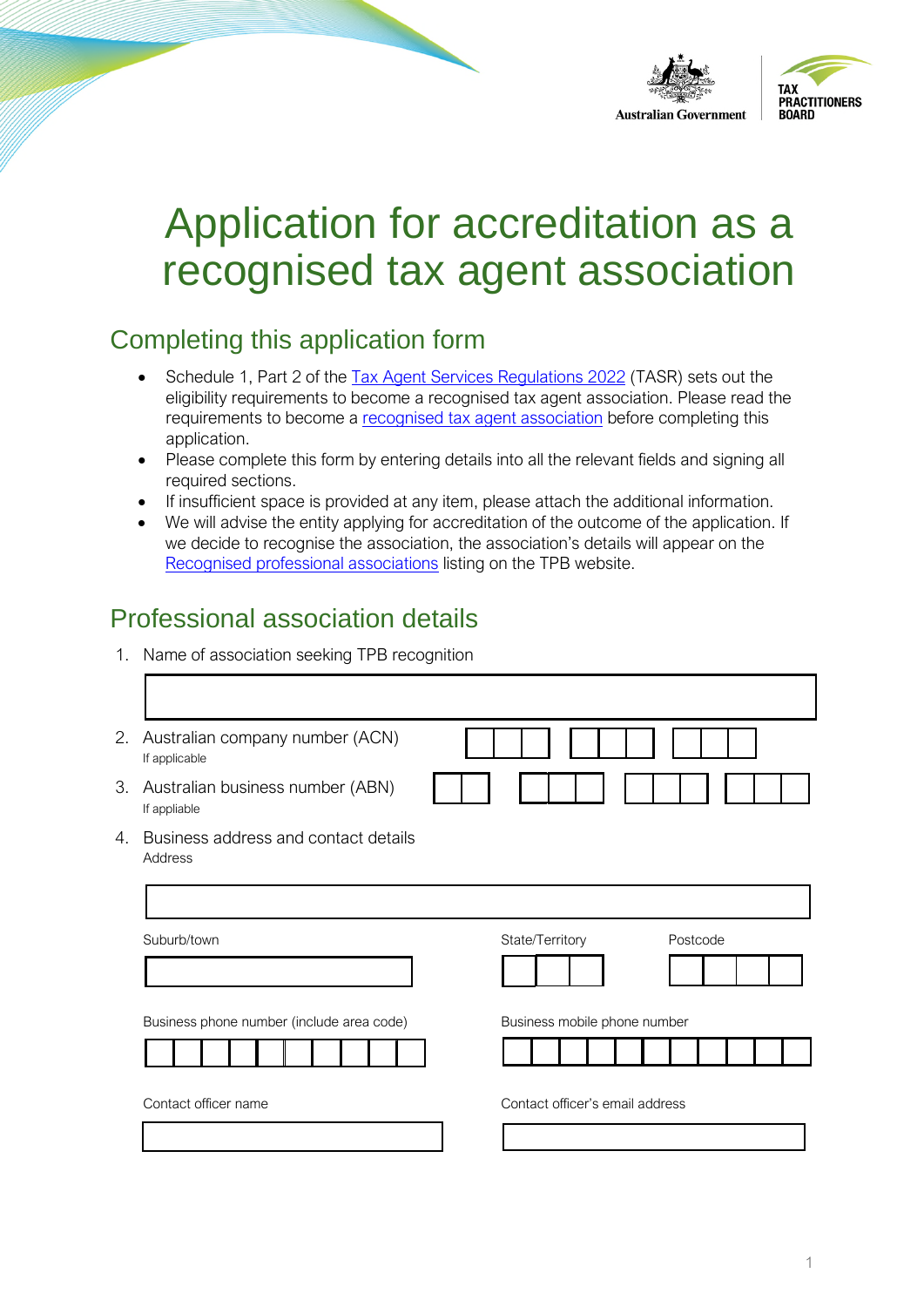

# Application for accreditation as a recognised tax agent association

## Completing this application form

- Schedule 1, Part 2 of the [Tax Agent Services Regulations 2022](https://www.legislation.gov.au/Details/F2022L00238) (TASR) sets out the eligibility requirements to b[ecome a recognised tax agent ass](https://www.tpb.gov.au/recognised-tax-agent-association)ociation. Please read the requirements to become a recognised tax agent association before completing this application.
- Please complete this form by entering details into all the relevant fields and signing all required sections.
- If insufficient space is provided at any item, please attach the additional information.
- We will advise the entity applying for accreditation of the outcome of the application. If [we decide to recognise the association](https://www.tpb.gov.au/recognised-professional-associations), the association's details will appear on the Recognised professional associations listing on the TPB website.

### Professional association details

1. Name of association seeking TPB recognition

| 2. | Australian company number (ACN)<br>If applicable |                              |
|----|--------------------------------------------------|------------------------------|
| 3. | Australian business number (ABN)<br>If appliable |                              |
| 4. | Business address and contact details<br>Address  |                              |
|    |                                                  |                              |
|    | Suburb/town                                      | State/Territory<br>Postcode  |
|    |                                                  |                              |
|    |                                                  |                              |
|    | Business phone number (include area code)        | Business mobile phone number |
|    |                                                  |                              |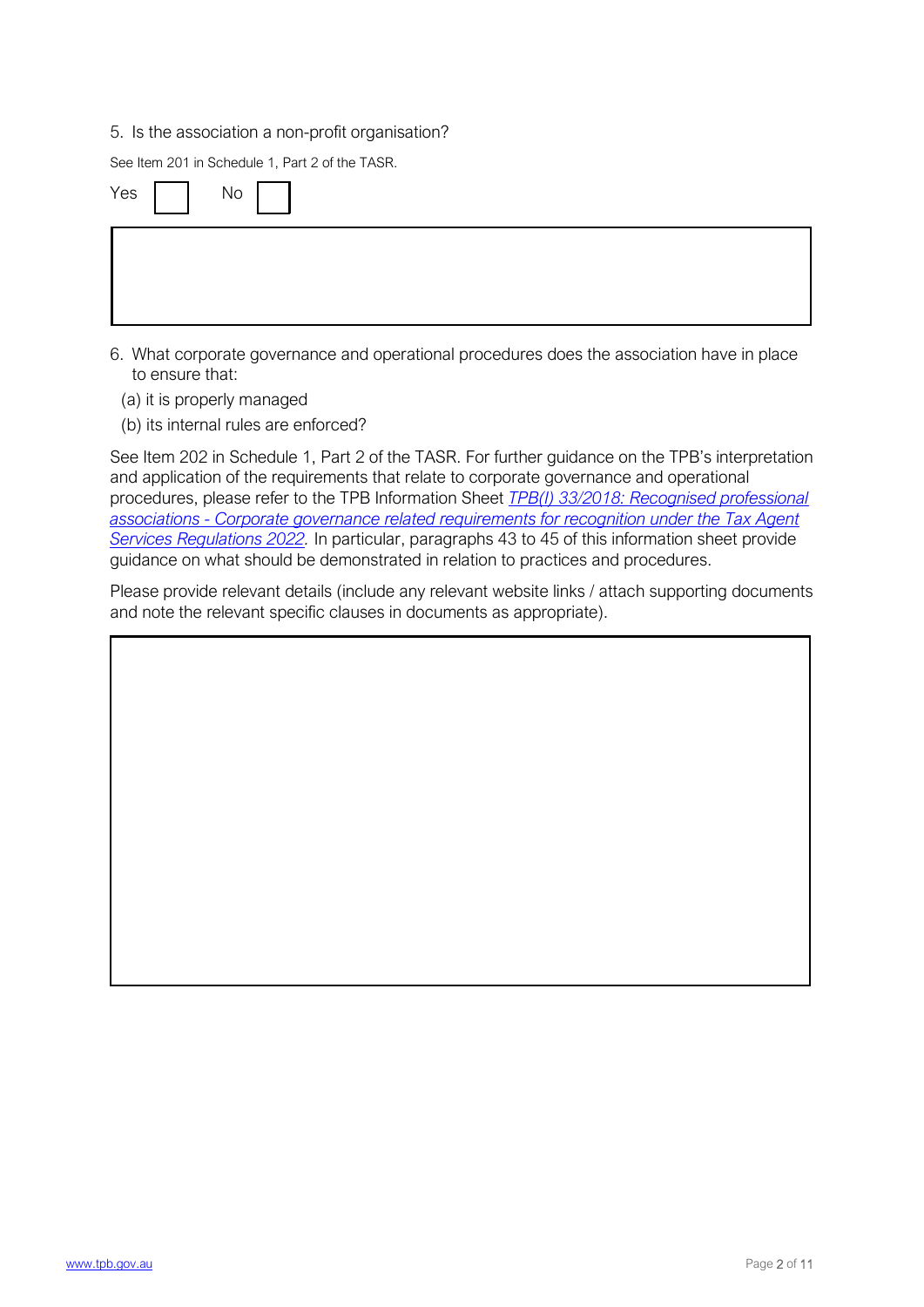#### 5. Is the association a non-profit organisation?

See Item 201 in Schedule 1, Part 2 of the TASR.

| Yes $\begin{array}{ c c c c c } \hline \quad & \mathsf{No} & \mathsf{} & \mathsf{} \ \hline \end{array}$ |  |  |  |
|----------------------------------------------------------------------------------------------------------|--|--|--|
|                                                                                                          |  |  |  |

- 6. What corporate governance and operational procedures does the association have in place to ensure that:
	- (a) it is properly managed
	- (b) its internal rules are enforced?

See Item 202 in Schedule 1, Part 2 of the TASR. For further guidance on the TPB's interpretation and application of the requirements that relate to corp[orate governance and operational](https://www.tpb.gov.au/tpbi-332018-recognised-professional-associations-corporate-governance-related-requirements)  [procedures, please refer to the TPB Information Sheet](https://www.tpb.gov.au/tpbi-332018-recognised-professional-associations-corporate-governance-related-requirements) *TPB(I) 33/2018: Recognised professional [associations - Corporate governance related requirements for recognition under the Tax Agent](https://www.tpb.gov.au/tpbi-332018-recognised-professional-associations-corporate-governance-related-requirements)  Services Regulations 2022.* In particular, paragraphs 43 to 45 of this information sheet provide guidance on what should be demonstrated in relation to practices and procedures.

Please provide relevant details (include any relevant website links / attach supporting documents and note the relevant specific clauses in documents as appropriate).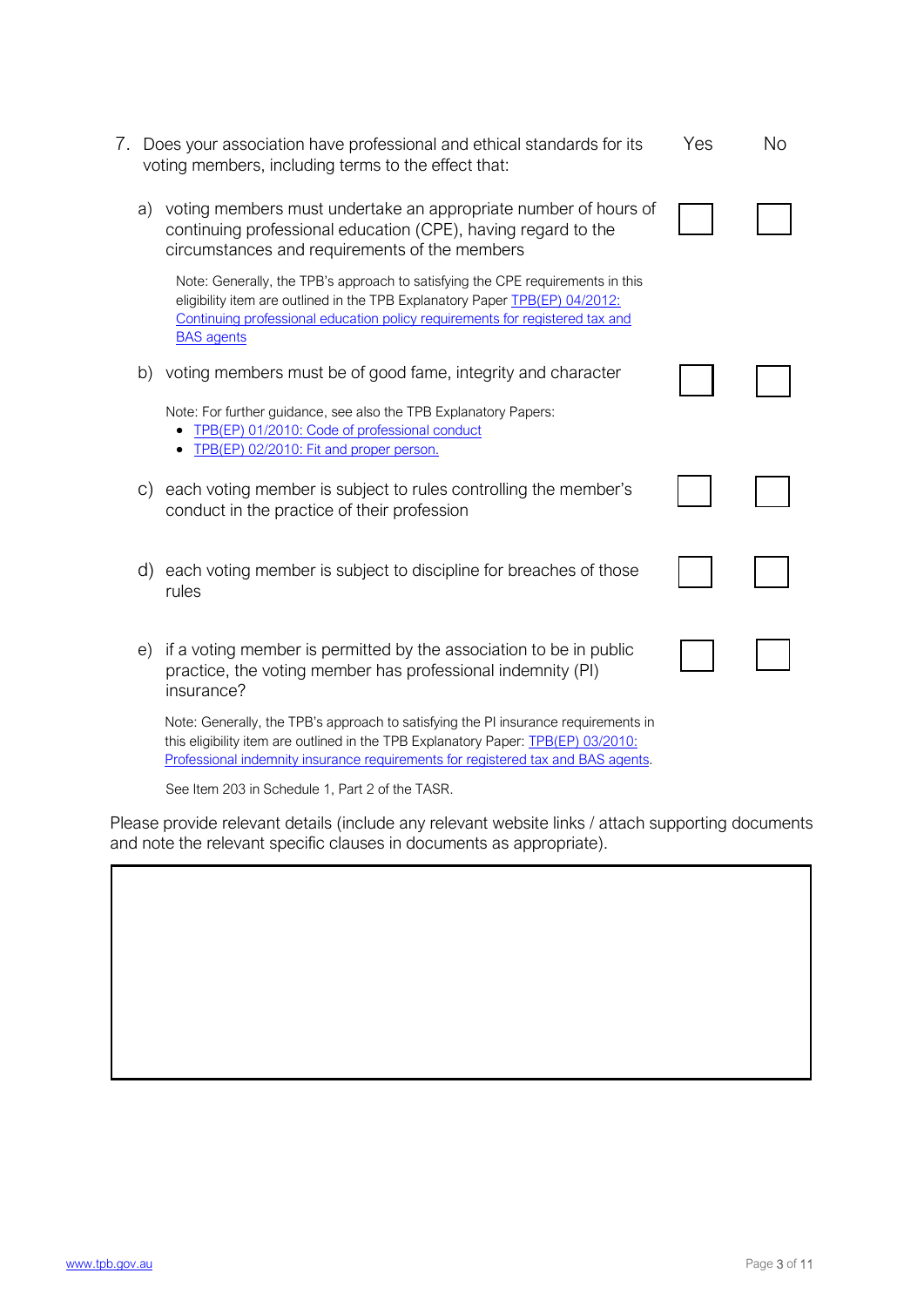| 7. |    | Does your association have professional and ethical standards for its<br>voting members, including terms to the effect that:                                                                                                                                       | Yes | <b>No</b> |
|----|----|--------------------------------------------------------------------------------------------------------------------------------------------------------------------------------------------------------------------------------------------------------------------|-----|-----------|
|    | a) | voting members must undertake an appropriate number of hours of<br>continuing professional education (CPE), having regard to the<br>circumstances and requirements of the members                                                                                  |     |           |
|    |    | Note: Generally, the TPB's approach to satisfying the CPE requirements in this<br>eligibility item are outlined in the TPB Explanatory Paper TPB(EP) 04/2012:<br>Continuing professional education policy requirements for registered tax and<br><b>BAS</b> agents |     |           |
|    | b) | voting members must be of good fame, integrity and character                                                                                                                                                                                                       |     |           |
|    |    | Note: For further guidance, see also the TPB Explanatory Papers:<br>TPB(EP) 01/2010: Code of professional conduct<br>TPB(EP) 02/2010: Fit and proper person.                                                                                                       |     |           |
|    | C) | each voting member is subject to rules controlling the member's<br>conduct in the practice of their profession                                                                                                                                                     |     |           |
|    | d) | each voting member is subject to discipline for breaches of those<br>rules                                                                                                                                                                                         |     |           |
|    | e) | if a voting member is permitted by the association to be in public<br>practice, the voting member has professional indemnity (PI)<br>insurance?                                                                                                                    |     |           |
|    |    | Note: Generally, the TPB's approach to satisfying the PI insurance requirements in<br>this eligibility item are outlined in the TPB Explanatory Paper: <b>TPB(EP) 03/2010:</b><br>Professional indemnity insurance requirements for registered tax and BAS agents. |     |           |

See Item 203 in Schedule 1, Part 2 of the TASR.

Please provide relevant details (include any relevant website links / attach supporting documents and note the relevant specific clauses in documents as appropriate).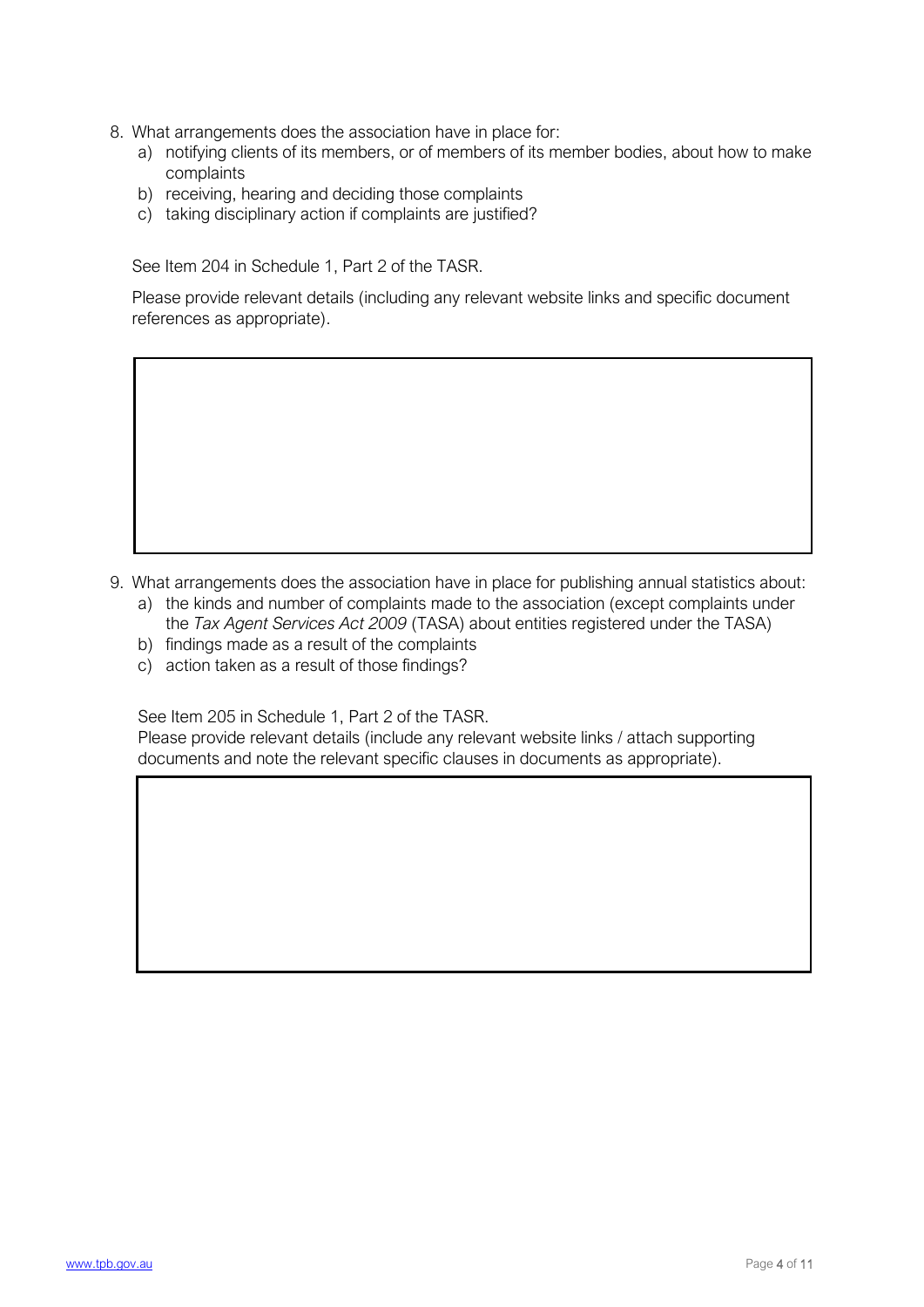- 8. What arrangements does the association have in place for:
	- a) notifying clients of its members, or of members of its member bodies, about how to make complaints
	- b) receiving, hearing and deciding those complaints
	- c) taking disciplinary action if complaints are justified?

See Item 204 in Schedule 1, Part 2 of the TASR.

Please provide relevant details (including any relevant website links and specific document references as appropriate).

- 9. What arrangements does the association have in place for publishing annual statistics about:
	- a) the kinds and number of complaints made to the association (except complaints under the *Tax Agent Services Act 2009* (TASA) about entities registered under the TASA)
	- b) findings made as a result of the complaints
	- c) action taken as a result of those findings?

See Item 205 in Schedule 1, Part 2 of the TASR.

Please provide relevant details (include any relevant website links / attach supporting documents and note the relevant specific clauses in documents as appropriate).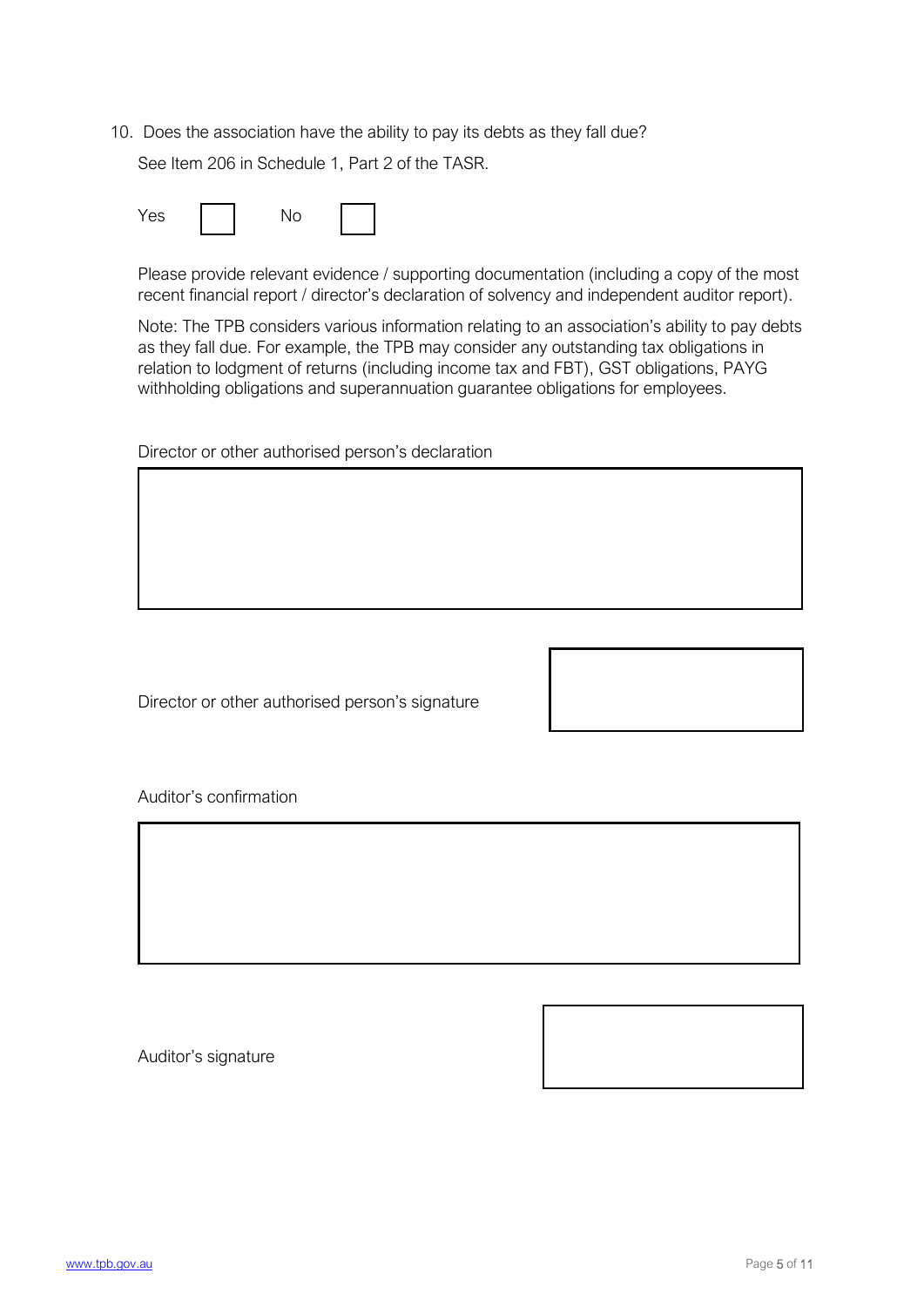10. Does the association have the ability to pay its debts as they fall due?

See Item 206 in Schedule 1, Part 2 of the TASR.

| Yes |  |  |  |
|-----|--|--|--|
|-----|--|--|--|

Please provide relevant evidence / supporting documentation (including a copy of the most recent financial report / director's declaration of solvency and independent auditor report).

Note: The TPB considers various information relating to an association's ability to pay debts as they fall due. For example, the TPB may consider any outstanding tax obligations in relation to lodgment of returns (including income tax and FBT), GST obligations, PAYG withholding obligations and superannuation guarantee obligations for employees.

Director or other authorised person's declaration

Director or other authorised person's signature

Auditor's confirmation

Auditor's signature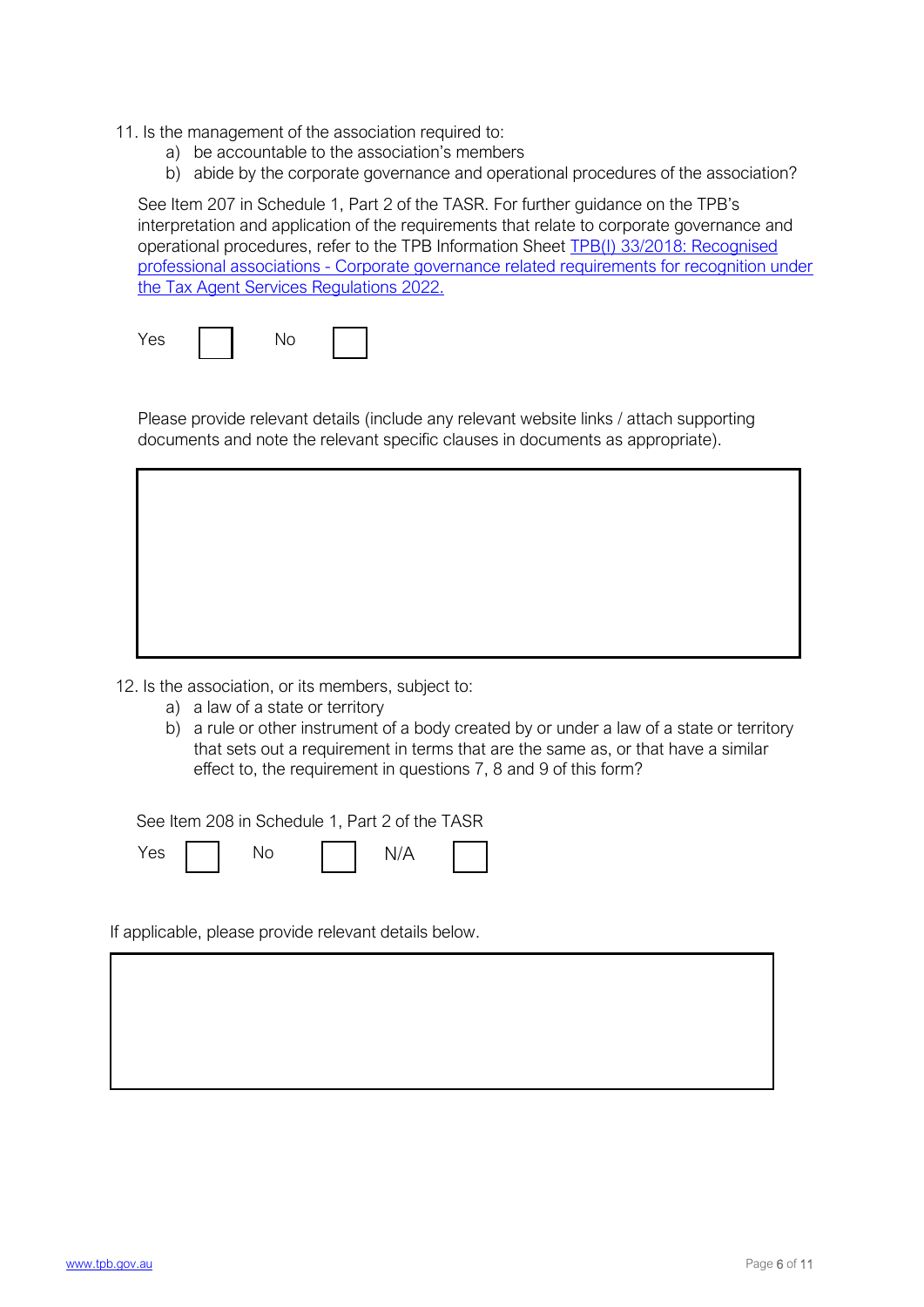- 11. Is the management of the association required to:
	- a) be accountable to the association's members
	- b) abide by the corporate governance and operational procedures of the association?

See Item 207 in Schedule 1, Part 2 of the TASR. For further guidance on the TPB's interpretation and application of the requirements that relat[e to corporate governance and](https://www.tpb.gov.au/tpbi-332018-recognised-professional-associations-corporate-governance-related-requirements) [operational procedures, refer to the TPB Information Sheet TPB\(I\) 33/2018: Recognised](https://www.tpb.gov.au/tpbi-332018-recognised-professional-associations-corporate-governance-related-requirements)  [professional associations - Corporate gove](https://www.tpb.gov.au/tpbi-332018-recognised-professional-associations-corporate-governance-related-requirements)rnance related requirements for recognition under the Tax Agent Services Regulations 2022.

| Yes |  |  |
|-----|--|--|
|-----|--|--|

Please provide relevant details (include any relevant website links / attach supporting documents and note the relevant specific clauses in documents as appropriate).

12. Is the association, or its members, subject to:

- a) a law of a state or territory
- b) a rule or other instrument of a body created by or under a law of a state or territory that sets out a requirement in terms that are the same as, or that have a similar effect to, the requirement in questions 7, 8 and 9 of this form?

See Item 208 in Schedule 1, Part 2 of the TASR

Yes | | No | | N/A

If applicable, please provide relevant details below.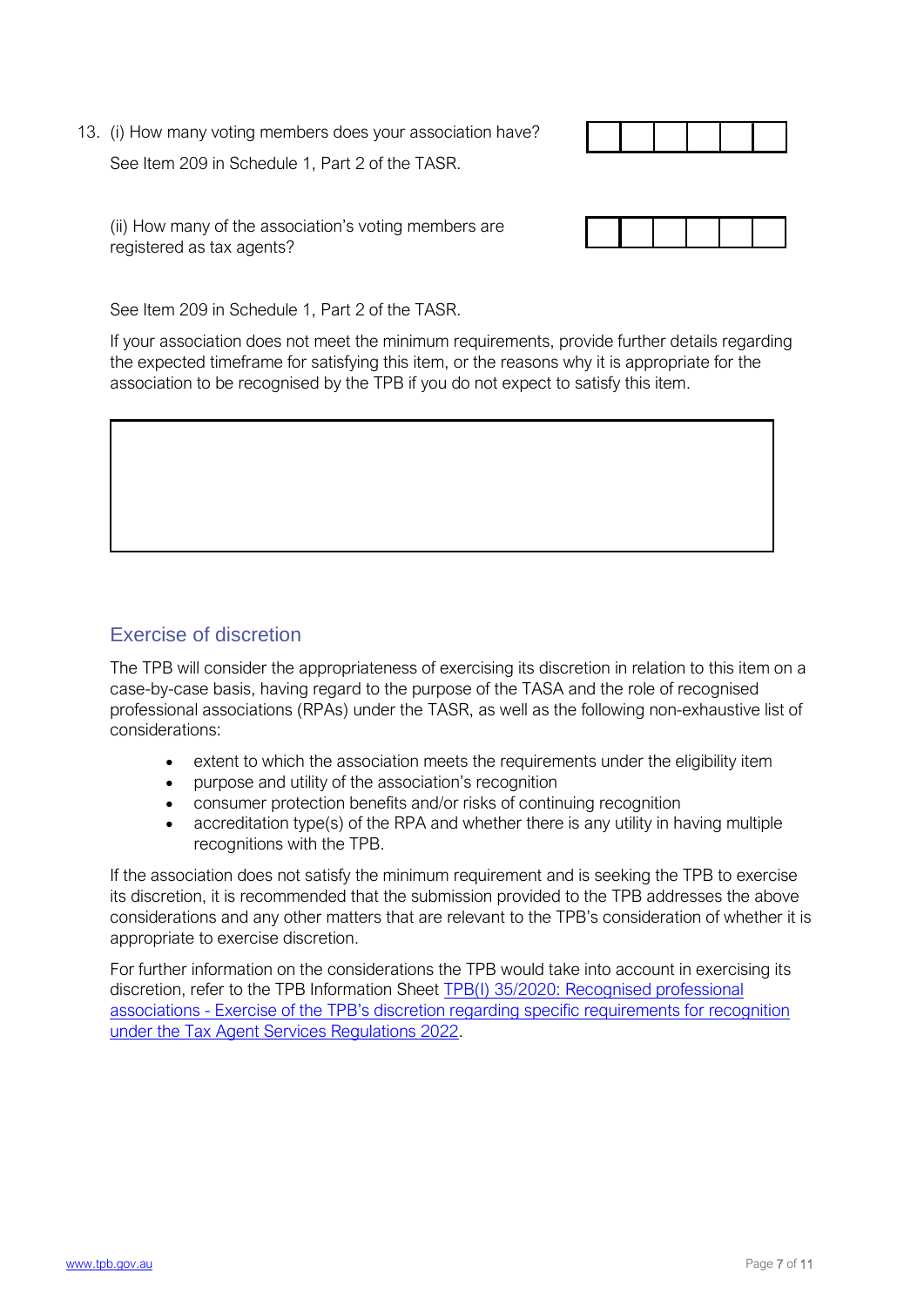13. (i) How many voting members does your association have? See Item 209 in Schedule 1, Part 2 of the TASR.



(ii) How many of the association's voting members are registered as tax agents?



See Item 209 in Schedule 1, Part 2 of the TASR.

If your association does not meet the minimum requirements, provide further details regarding the expected timeframe for satisfying this item, or the reasons why it is appropriate for the association to be recognised by the TPB if you do not expect to satisfy this item.

#### Exercise of discretion

The TPB will consider the appropriateness of exercising its discretion in relation to this item on a case-by-case basis, having regard to the purpose of the TASA and the role of recognised professional associations (RPAs) under the TASR, as well as the following non-exhaustive list of considerations:

- extent to which the association meets the requirements under the eligibility item
- purpose and utility of the association's recognition
- consumer protection benefits and/or risks of continuing recognition
- accreditation type(s) of the RPA and whether there is any utility in having multiple recognitions with the TPB.

If the association does not satisfy the minimum requirement and is seeking the TPB to exercise its discretion, it is recommended that the submission provided to the TPB addresses the above considerations and any other matters that are relevant to the TPB's consideration of whether it is appropriate to exercise discretion.

For further information on the considerations t[he TPB would take into account in exercisin](https://www.tpb.gov.au/tpbi-352020-recognised-professional-associations-tpb-discretion-regarding-specific-requirements)g its [discretion, refer to the TPB Information Sheet TPB\(I\) 35/2020: Recognised professional](https://www.tpb.gov.au/tpbi-352020-recognised-professional-associations-tpb-discretion-regarding-specific-requirements)  [associations - Exercise of the TPB's discretion reg](https://www.tpb.gov.au/tpbi-352020-recognised-professional-associations-tpb-discretion-regarding-specific-requirements)arding specific requirements for recognition under the Tax Agent Services Regulations 2022.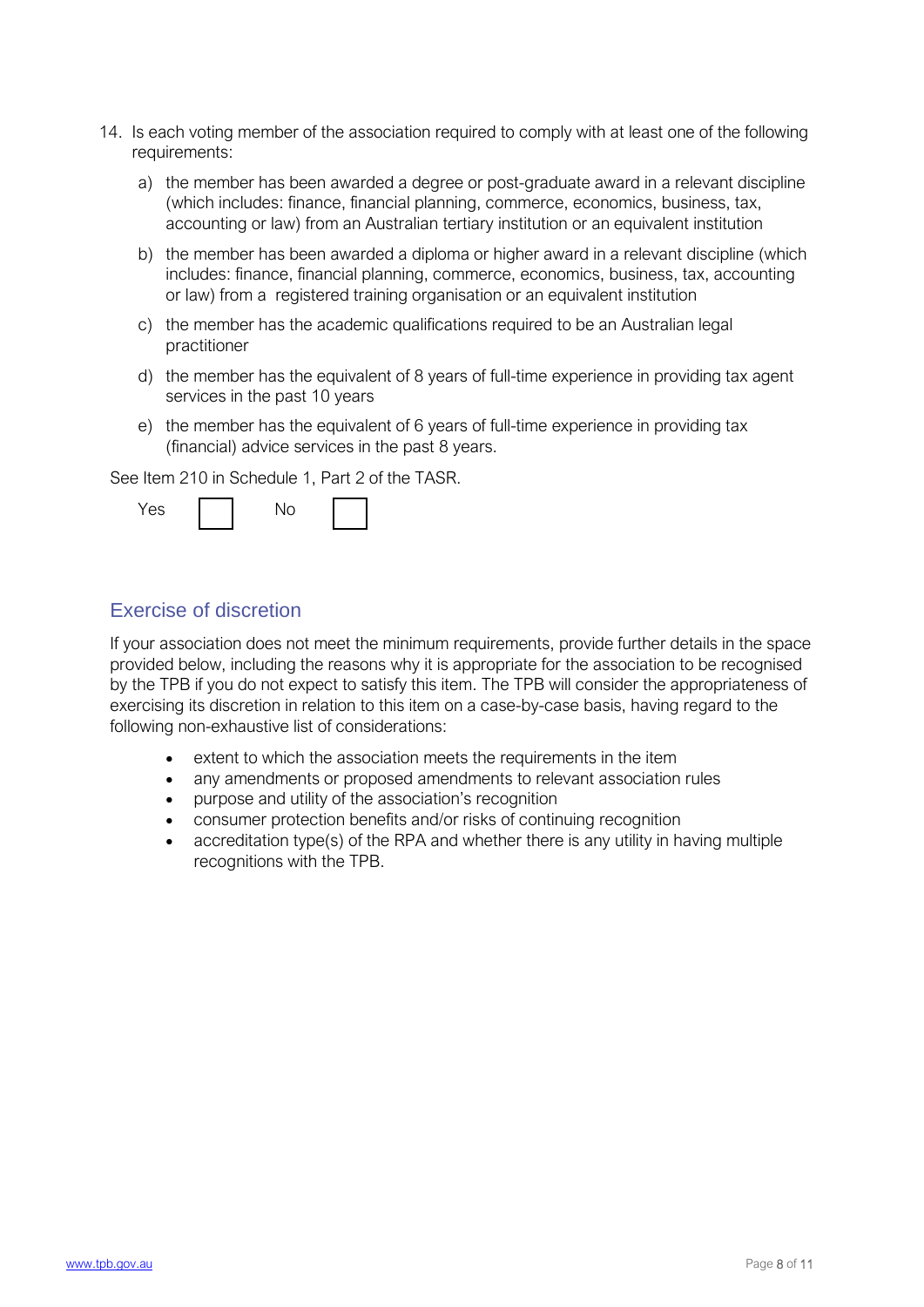- 14. Is each voting member of the association required to comply with at least one of the following requirements:
	- a) the member has been awarded a degree or post-graduate award in a relevant discipline (which includes: finance, financial planning, commerce, economics, business, tax, accounting or law) from an Australian tertiary institution or an equivalent institution
	- b) the member has been awarded a diploma or higher award in a relevant discipline (which includes: finance, financial planning, commerce, economics, business, tax, accounting or law) from a registered training organisation or an equivalent institution
	- c) the member has the academic qualifications required to be an Australian legal practitioner
	- d) the member has the equivalent of 8 years of full-time experience in providing tax agent services in the past 10 years
	- e) the member has the equivalent of 6 years of full-time experience in providing tax (financial) advice services in the past 8 years.

See Item 210 in Schedule 1, Part 2 of the TASR.



#### Exercise of discretion

If your association does not meet the minimum requirements, provide further details in the space provided below, including the reasons why it is appropriate for the association to be recognised by the TPB if you do not expect to satisfy this item. The TPB will consider the appropriateness of exercising its discretion in relation to this item on a case-by-case basis, having regard to the following non-exhaustive list of considerations:

- extent to which the association meets the requirements in the item
- any amendments or proposed amendments to relevant association rules
- purpose and utility of the association's recognition
- consumer protection benefits and/or risks of continuing recognition
- accreditation type(s) of the RPA and whether there is any utility in having multiple recognitions with the TPB.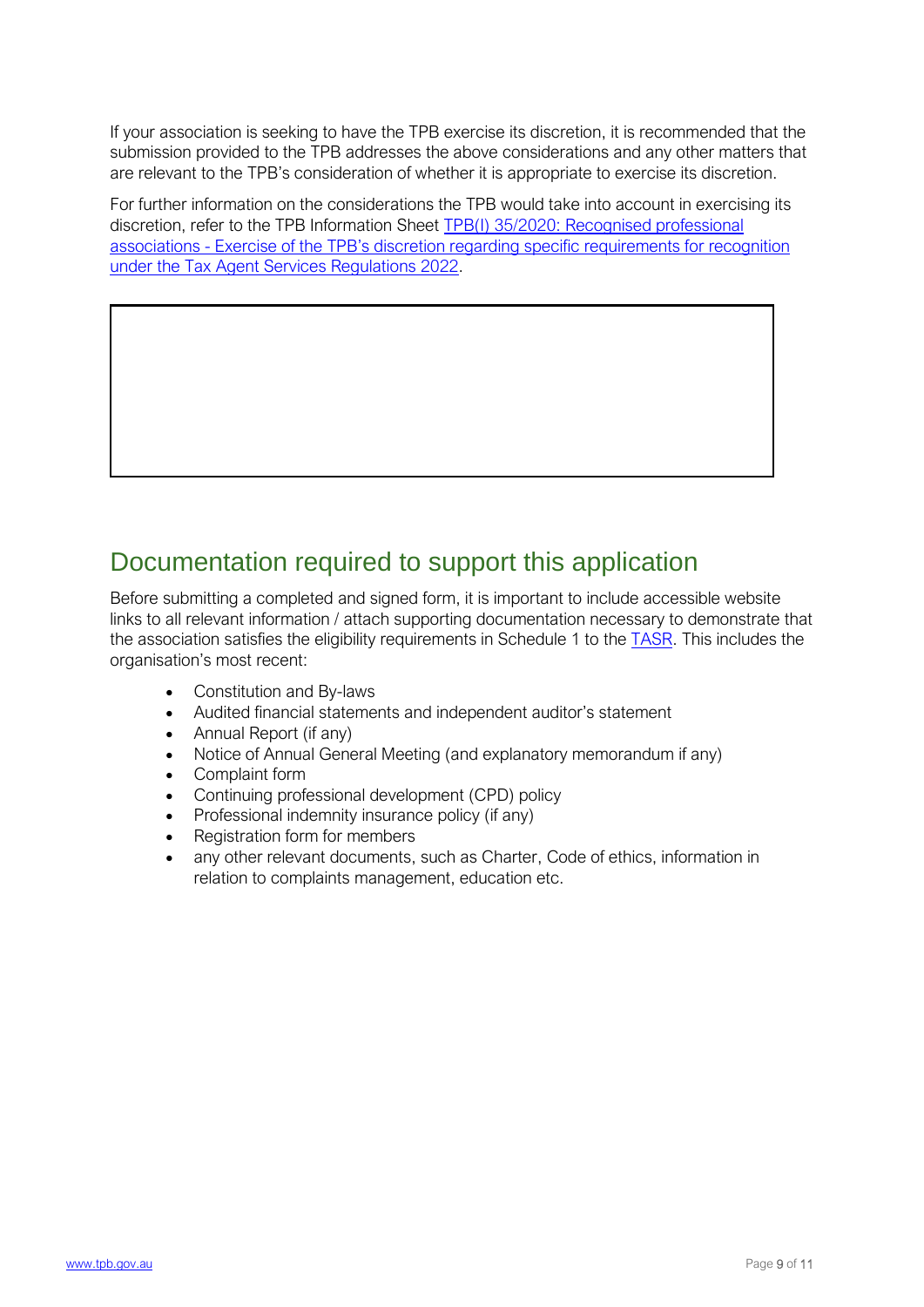If your association is seeking to have the TPB exercise its discretion, it is recommended that the submission provided to the TPB addresses the above considerations and any other matters that are relevant to the TPB's consideration of whether it is appropriate to exercise its discretion.

For further information on the considerations t[he TPB would take into account in exercisin](https://www.tpb.gov.au/tpbi-352020-recognised-professional-associations-tpb-discretion-regarding-specific-requirements)g its [discretion, refer to the TPB Information Sheet TPB\(I\) 35/2020: Recognised professional](https://www.tpb.gov.au/tpbi-352020-recognised-professional-associations-tpb-discretion-regarding-specific-requirements)  associations - Exercise of the TPB's discretion regarding specific requirements for recognition [under the Tax Agent Services Regulations 2022.](https://www.tpb.gov.au/tpbi-352020-recognised-professional-associations-tpb-discretion-regarding-specific-requirements) 

### Documentation required to support this application

Before submitting a completed and signed form, it is important to include accessible website links to all relevant information / attach supporting documentation necessary to demonstrate that the association satisfies the eligibility requirements in Schedule 1 to the [TASR.](https://www.legislation.gov.au/Details/F2022L00238) This includes the organisation's most recent:

- Constitution and By-laws
- Audited financial statements and independent auditor's statement
- Annual Report (if any)
- Notice of Annual General Meeting (and explanatory memorandum if any)
- Complaint form
- Continuing professional development (CPD) policy
- Professional indemnity insurance policy (if any)
- Registration form for members
- any other relevant documents, such as Charter, Code of ethics, information in relation to complaints management, education etc.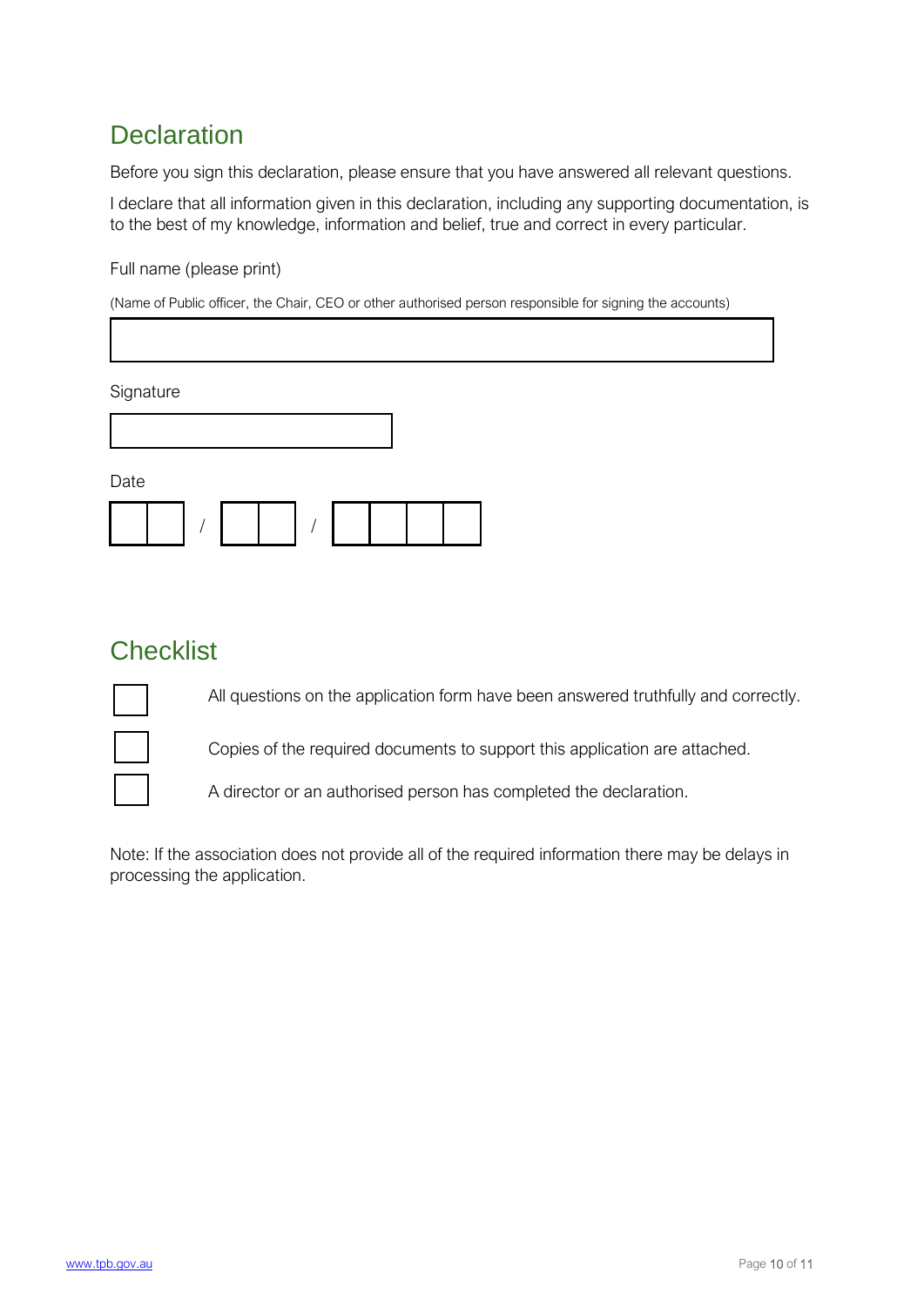# **Declaration**

Before you sign this declaration, please ensure that you have answered all relevant questions.

I declare that all information given in this declaration, including any supporting documentation, is to the best of my knowledge, information and belief, true and correct in every particular.

Full name (please print)

(Name of Public officer, the Chair, CEO or other authorised person responsible for signing the accounts)

**Signature** 

Date

#### **Checklist**

All questions on the application form have been answered truthfully and correctly.



Copies of the required documents to support this application are attached.

A director or an authorised person has completed the declaration.

Note: If the association does not provide all of the required information there may be delays in processing the application.